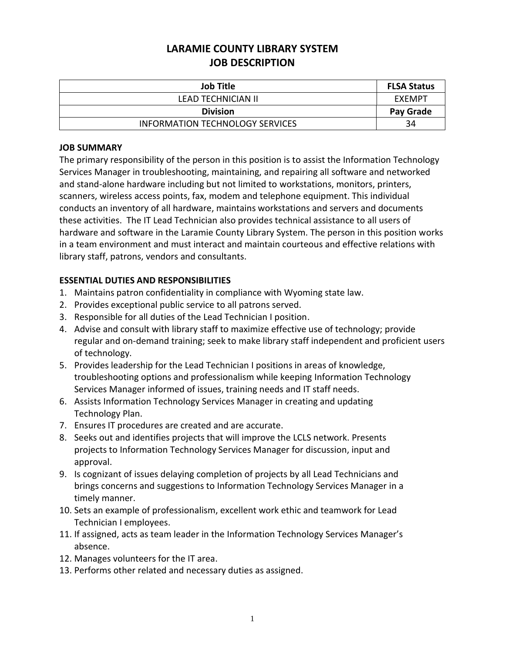# **LARAMIE COUNTY LIBRARY SYSTEM JOB DESCRIPTION**

| <b>Job Title</b>                       | <b>FLSA Status</b> |
|----------------------------------------|--------------------|
| LEAD TECHNICIAN II                     | EXEMPT             |
| <b>Division</b>                        | Pay Grade          |
| <b>INFORMATION TECHNOLOGY SERVICES</b> | 34                 |

#### **JOB SUMMARY**

The primary responsibility of the person in this position is to assist the Information Technology Services Manager in troubleshooting, maintaining, and repairing all software and networked and stand-alone hardware including but not limited to workstations, monitors, printers, scanners, wireless access points, fax, modem and telephone equipment. This individual conducts an inventory of all hardware, maintains workstations and servers and documents these activities. The IT Lead Technician also provides technical assistance to all users of hardware and software in the Laramie County Library System. The person in this position works in a team environment and must interact and maintain courteous and effective relations with library staff, patrons, vendors and consultants.

## **ESSENTIAL DUTIES AND RESPONSIBILITIES**

- 1. Maintains patron confidentiality in compliance with Wyoming state law.
- 2. Provides exceptional public service to all patrons served.
- 3. Responsible for all duties of the Lead Technician I position.
- 4. Advise and consult with library staff to maximize effective use of technology; provide regular and on-demand training; seek to make library staff independent and proficient users of technology.
- 5. Provides leadership for the Lead Technician I positions in areas of knowledge, troubleshooting options and professionalism while keeping Information Technology Services Manager informed of issues, training needs and IT staff needs.
- 6. Assists Information Technology Services Manager in creating and updating Technology Plan.
- 7. Ensures IT procedures are created and are accurate.
- 8. Seeks out and identifies projects that will improve the LCLS network. Presents projects to Information Technology Services Manager for discussion, input and approval.
- 9. Is cognizant of issues delaying completion of projects by all Lead Technicians and brings concerns and suggestions to Information Technology Services Manager in a timely manner.
- 10. Sets an example of professionalism, excellent work ethic and teamwork for Lead Technician I employees.
- 11. If assigned, acts as team leader in the Information Technology Services Manager's absence.
- 12. Manages volunteers for the IT area.
- 13. Performs other related and necessary duties as assigned.